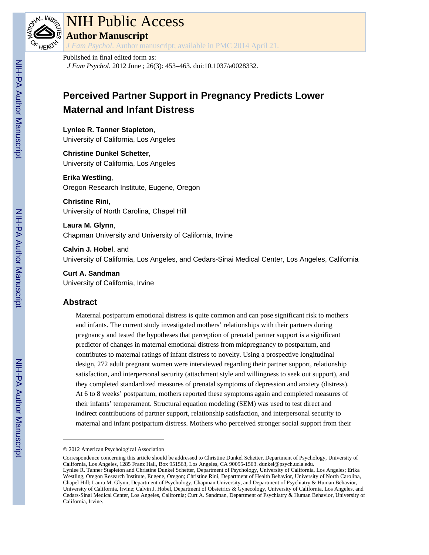

# NIH Public Access

**Author Manuscript**

*J Fam Psychol*. Author manuscript; available in PMC 2014 April 21.

### Published in final edited form as:

*J Fam Psychol*. 2012 June ; 26(3): 453–463. doi:10.1037/a0028332.

# **Perceived Partner Support in Pregnancy Predicts Lower Maternal and Infant Distress**

**Lynlee R. Tanner Stapleton**, University of California, Los Angeles

**Christine Dunkel Schetter**, University of California, Los Angeles

**Erika Westling**, Oregon Research Institute, Eugene, Oregon

**Christine Rini**, University of North Carolina, Chapel Hill

**Laura M. Glynn**, Chapman University and University of California, Irvine

**Calvin J. Hobel**, and University of California, Los Angeles, and Cedars-Sinai Medical Center, Los Angeles, California

**Curt A. Sandman** University of California, Irvine

# **Abstract**

Maternal postpartum emotional distress is quite common and can pose significant risk to mothers and infants. The current study investigated mothers' relationships with their partners during pregnancy and tested the hypotheses that perception of prenatal partner support is a significant predictor of changes in maternal emotional distress from midpregnancy to postpartum, and contributes to maternal ratings of infant distress to novelty. Using a prospective longitudinal design, 272 adult pregnant women were interviewed regarding their partner support, relationship satisfaction, and interpersonal security (attachment style and willingness to seek out support), and they completed standardized measures of prenatal symptoms of depression and anxiety (distress). At 6 to 8 weeks' postpartum, mothers reported these symptoms again and completed measures of their infants' temperament. Structural equation modeling (SEM) was used to test direct and indirect contributions of partner support, relationship satisfaction, and interpersonal security to maternal and infant postpartum distress. Mothers who perceived stronger social support from their

Correspondence concerning this article should be addressed to Christine Dunkel Schetter, Department of Psychology, University of California, Los Angeles, 1285 Franz Hall, Box 951563, Los Angeles, CA 90095-1563. dunkel@psych.ucla.edu. Lynlee R. Tanner Stapleton and Christine Dunkel Schetter, Department of Psychology, University of California, Los Angeles; Erika Westling, Oregon Research Institute, Eugene, Oregon; Christine Rini, Department of Health Behavior, University of North Carolina, Chapel Hill; Laura M. Glynn, Department of Psychology, Chapman University, and Department of Psychiatry & Human Behavior, University of California, Irvine; Calvin J. Hobel, Department of Obstetrics & Gynecology, University of California, Los Angeles, and Cedars-Sinai Medical Center, Los Angeles, California; Curt A. Sandman, Department of Psychiatry & Human Behavior, University of California, Irvine.

<sup>© 2012</sup> American Psychological Association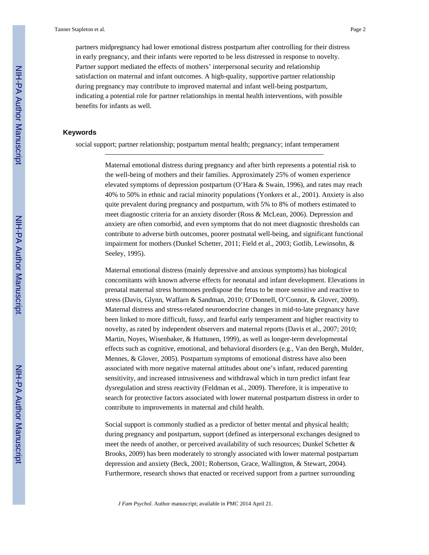partners midpregnancy had lower emotional distress postpartum after controlling for their distress in early pregnancy, and their infants were reported to be less distressed in response to novelty. Partner support mediated the effects of mothers' interpersonal security and relationship satisfaction on maternal and infant outcomes. A high-quality, supportive partner relationship during pregnancy may contribute to improved maternal and infant well-being postpartum, indicating a potential role for partner relationships in mental health interventions, with possible benefits for infants as well.

#### **Keywords**

social support; partner relationship; postpartum mental health; pregnancy; infant temperament

Maternal emotional distress during pregnancy and after birth represents a potential risk to the well-being of mothers and their families. Approximately 25% of women experience elevated symptoms of depression postpartum (O'Hara & Swain, 1996), and rates may reach 40% to 50% in ethnic and racial minority populations (Yonkers et al., 2001). Anxiety is also quite prevalent during pregnancy and postpartum, with 5% to 8% of mothers estimated to meet diagnostic criteria for an anxiety disorder (Ross & McLean, 2006). Depression and anxiety are often comorbid, and even symptoms that do not meet diagnostic thresholds can contribute to adverse birth outcomes, poorer postnatal well-being, and significant functional impairment for mothers (Dunkel Schetter, 2011; Field et al., 2003; Gotlib, Lewinsohn, & Seeley, 1995).

Maternal emotional distress (mainly depressive and anxious symptoms) has biological concomitants with known adverse effects for neonatal and infant development. Elevations in prenatal maternal stress hormones predispose the fetus to be more sensitive and reactive to stress (Davis, Glynn, Waffarn & Sandman, 2010; O'Donnell, O'Connor, & Glover, 2009). Maternal distress and stress-related neuroendocrine changes in mid-to-late pregnancy have been linked to more difficult, fussy, and fearful early temperament and higher reactivity to novelty, as rated by independent observers and maternal reports (Davis et al., 2007; 2010; Martin, Noyes, Wisenbaker, & Huttunen, 1999), as well as longer-term developmental effects such as cognitive, emotional, and behavioral disorders (e.g., Van den Bergh, Mulder, Mennes, & Glover, 2005). Postpartum symptoms of emotional distress have also been associated with more negative maternal attitudes about one's infant, reduced parenting sensitivity, and increased intrusiveness and withdrawal which in turn predict infant fear dysregulation and stress reactivity (Feldman et al., 2009). Therefore, it is imperative to search for protective factors associated with lower maternal postpartum distress in order to contribute to improvements in maternal and child health.

Social support is commonly studied as a predictor of better mental and physical health; during pregnancy and postpartum, support (defined as interpersonal exchanges designed to meet the needs of another, or perceived availability of such resources; Dunkel Schetter & Brooks, 2009) has been moderately to strongly associated with lower maternal postpartum depression and anxiety (Beck, 2001; Robertson, Grace, Wallington, & Stewart, 2004). Furthermore, research shows that enacted or received support from a partner surrounding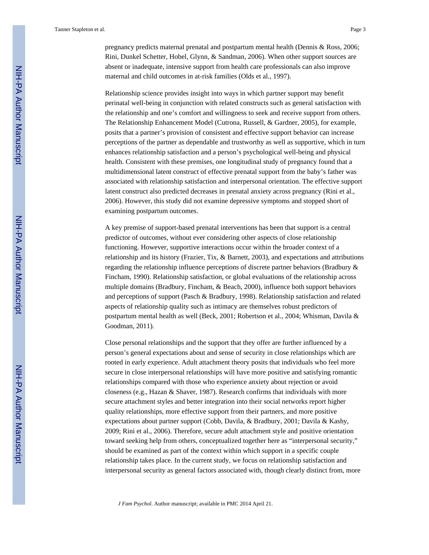pregnancy predicts maternal prenatal and postpartum mental health (Dennis & Ross, 2006; Rini, Dunkel Schetter, Hobel, Glynn, & Sandman, 2006). When other support sources are absent or inadequate, intensive support from health care professionals can also improve maternal and child outcomes in at-risk families (Olds et al., 1997).

Relationship science provides insight into ways in which partner support may benefit perinatal well-being in conjunction with related constructs such as general satisfaction with the relationship and one's comfort and willingness to seek and receive support from others. The Relationship Enhancement Model (Cutrona, Russell, & Gardner, 2005), for example, posits that a partner's provision of consistent and effective support behavior can increase perceptions of the partner as dependable and trustworthy as well as supportive, which in turn enhances relationship satisfaction and a person's psychological well-being and physical health. Consistent with these premises, one longitudinal study of pregnancy found that a multidimensional latent construct of effective prenatal support from the baby's father was associated with relationship satisfaction and interpersonal orientation. The effective support latent construct also predicted decreases in prenatal anxiety across pregnancy (Rini et al., 2006). However, this study did not examine depressive symptoms and stopped short of examining postpartum outcomes.

A key premise of support-based prenatal interventions has been that support is a central predictor of outcomes, without ever considering other aspects of close relationship functioning. However, supportive interactions occur within the broader context of a relationship and its history (Frazier, Tix, & Barnett, 2003), and expectations and attributions regarding the relationship influence perceptions of discrete partner behaviors (Bradbury & Fincham, 1990). Relationship satisfaction, or global evaluations of the relationship across multiple domains (Bradbury, Fincham, & Beach, 2000), influence both support behaviors and perceptions of support (Pasch & Bradbury, 1998). Relationship satisfaction and related aspects of relationship quality such as intimacy are themselves robust predictors of postpartum mental health as well (Beck, 2001; Robertson et al., 2004; Whisman, Davila & Goodman, 2011).

Close personal relationships and the support that they offer are further influenced by a person's general expectations about and sense of security in close relationships which are rooted in early experience. Adult attachment theory posits that individuals who feel more secure in close interpersonal relationships will have more positive and satisfying romantic relationships compared with those who experience anxiety about rejection or avoid closeness (e.g., Hazan & Shaver, 1987). Research confirms that individuals with more secure attachment styles and better integration into their social networks report higher quality relationships, more effective support from their partners, and more positive expectations about partner support (Cobb, Davila, & Bradbury, 2001; Davila & Kashy, 2009; Rini et al., 2006). Therefore, secure adult attachment style and positive orientation toward seeking help from others, conceptualized together here as "interpersonal security," should be examined as part of the context within which support in a specific couple relationship takes place. In the current study, we focus on relationship satisfaction and interpersonal security as general factors associated with, though clearly distinct from, more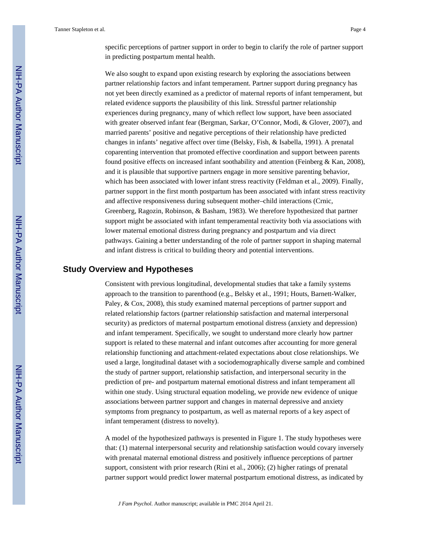specific perceptions of partner support in order to begin to clarify the role of partner support in predicting postpartum mental health.

We also sought to expand upon existing research by exploring the associations between partner relationship factors and infant temperament. Partner support during pregnancy has not yet been directly examined as a predictor of maternal reports of infant temperament, but related evidence supports the plausibility of this link. Stressful partner relationship experiences during pregnancy, many of which reflect low support, have been associated with greater observed infant fear (Bergman, Sarkar, O'Connor, Modi, & Glover, 2007), and married parents' positive and negative perceptions of their relationship have predicted changes in infants' negative affect over time (Belsky, Fish, & Isabella, 1991). A prenatal coparenting intervention that promoted effective coordination and support between parents found positive effects on increased infant soothability and attention (Feinberg & Kan, 2008), and it is plausible that supportive partners engage in more sensitive parenting behavior, which has been associated with lower infant stress reactivity (Feldman et al., 2009). Finally, partner support in the first month postpartum has been associated with infant stress reactivity and affective responsiveness during subsequent mother–child interactions (Crnic, Greenberg, Ragozin, Robinson, & Basham, 1983). We therefore hypothesized that partner support might be associated with infant temperamental reactivity both via associations with lower maternal emotional distress during pregnancy and postpartum and via direct pathways. Gaining a better understanding of the role of partner support in shaping maternal and infant distress is critical to building theory and potential interventions.

#### **Study Overview and Hypotheses**

Consistent with previous longitudinal, developmental studies that take a family systems approach to the transition to parenthood (e.g., Belsky et al., 1991; Houts, Barnett-Walker, Paley, & Cox, 2008), this study examined maternal perceptions of partner support and related relationship factors (partner relationship satisfaction and maternal interpersonal security) as predictors of maternal postpartum emotional distress (anxiety and depression) and infant temperament. Specifically, we sought to understand more clearly how partner support is related to these maternal and infant outcomes after accounting for more general relationship functioning and attachment-related expectations about close relationships. We used a large, longitudinal dataset with a sociodemographically diverse sample and combined the study of partner support, relationship satisfaction, and interpersonal security in the prediction of pre- and postpartum maternal emotional distress and infant temperament all within one study. Using structural equation modeling, we provide new evidence of unique associations between partner support and changes in maternal depressive and anxiety symptoms from pregnancy to postpartum, as well as maternal reports of a key aspect of infant temperament (distress to novelty).

A model of the hypothesized pathways is presented in Figure 1. The study hypotheses were that: (1) maternal interpersonal security and relationship satisfaction would covary inversely with prenatal maternal emotional distress and positively influence perceptions of partner support, consistent with prior research (Rini et al., 2006); (2) higher ratings of prenatal partner support would predict lower maternal postpartum emotional distress, as indicated by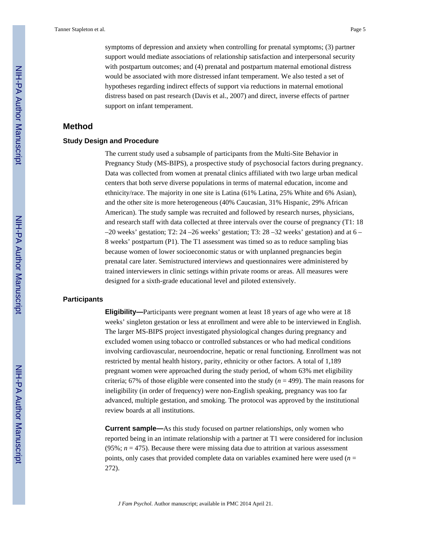symptoms of depression and anxiety when controlling for prenatal symptoms; (3) partner support would mediate associations of relationship satisfaction and interpersonal security with postpartum outcomes; and (4) prenatal and postpartum maternal emotional distress would be associated with more distressed infant temperament. We also tested a set of hypotheses regarding indirect effects of support via reductions in maternal emotional distress based on past research (Davis et al., 2007) and direct, inverse effects of partner support on infant temperament.

#### **Method**

#### **Study Design and Procedure**

The current study used a subsample of participants from the Multi-Site Behavior in Pregnancy Study (MS-BIPS), a prospective study of psychosocial factors during pregnancy. Data was collected from women at prenatal clinics affiliated with two large urban medical centers that both serve diverse populations in terms of maternal education, income and ethnicity/race. The majority in one site is Latina (61% Latina, 25% White and 6% Asian), and the other site is more heterogeneous (40% Caucasian, 31% Hispanic, 29% African American). The study sample was recruited and followed by research nurses, physicians, and research staff with data collected at three intervals over the course of pregnancy (T1: 18  $-20$  weeks' gestation; T2:  $24 - 26$  weeks' gestation; T3:  $28 - 32$  weeks' gestation) and at  $6 - 20$ 8 weeks' postpartum (P1). The T1 assessment was timed so as to reduce sampling bias because women of lower socioeconomic status or with unplanned pregnancies begin prenatal care later. Semistructured interviews and questionnaires were administered by trained interviewers in clinic settings within private rooms or areas. All measures were designed for a sixth-grade educational level and piloted extensively.

#### **Participants**

**Eligibility—**Participants were pregnant women at least 18 years of age who were at 18 weeks' singleton gestation or less at enrollment and were able to be interviewed in English. The larger MS-BIPS project investigated physiological changes during pregnancy and excluded women using tobacco or controlled substances or who had medical conditions involving cardiovascular, neuroendocrine, hepatic or renal functioning. Enrollment was not restricted by mental health history, parity, ethnicity or other factors. A total of 1,189 pregnant women were approached during the study period, of whom 63% met eligibility criteria; 67% of those eligible were consented into the study  $(n = 499)$ . The main reasons for ineligibility (in order of frequency) were non-English speaking, pregnancy was too far advanced, multiple gestation, and smoking. The protocol was approved by the institutional review boards at all institutions.

**Current sample—**As this study focused on partner relationships, only women who reported being in an intimate relationship with a partner at T1 were considered for inclusion  $(95\%; n = 475)$ . Because there were missing data due to attrition at various assessment points, only cases that provided complete data on variables examined here were used (*n* = 272).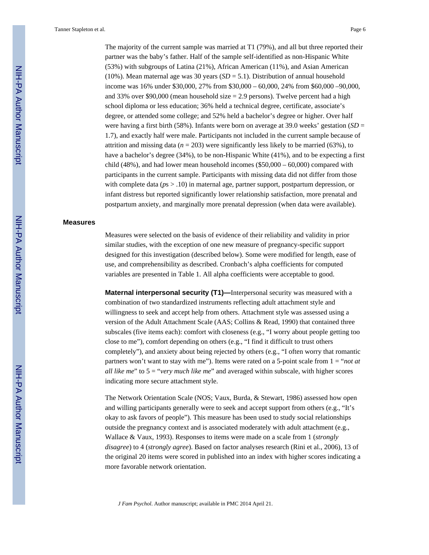The majority of the current sample was married at T1 (79%), and all but three reported their partner was the baby's father. Half of the sample self-identified as non-Hispanic White (53%) with subgroups of Latina (21%), African American (11%), and Asian American (10%). Mean maternal age was 30 years (*SD* = 5.1). Distribution of annual household income was 16% under \$30,000, 27% from \$30,000 – 60,000, 24% from \$60,000 –90,000, and 33% over \$90,000 (mean household size  $= 2.9$  persons). Twelve percent had a high school diploma or less education; 36% held a technical degree, certificate, associate's degree, or attended some college; and 52% held a bachelor's degree or higher. Over half were having a first birth (58%). Infants were born on average at 39.0 weeks' gestation (*SD* = 1.7), and exactly half were male. Participants not included in the current sample because of attrition and missing data  $(n = 203)$  were significantly less likely to be married (63%), to have a bachelor's degree (34%), to be non-Hispanic White (41%), and to be expecting a first child  $(48%)$ , and had lower mean household incomes  $(\$50,000 - 60,000)$  compared with participants in the current sample. Participants with missing data did not differ from those with complete data ( $ps > .10$ ) in maternal age, partner support, postpartum depression, or infant distress but reported significantly lower relationship satisfaction, more prenatal and postpartum anxiety, and marginally more prenatal depression (when data were available).

#### **Measures**

Measures were selected on the basis of evidence of their reliability and validity in prior similar studies, with the exception of one new measure of pregnancy-specific support designed for this investigation (described below). Some were modified for length, ease of use, and comprehensibility as described. Cronbach's alpha coefficients for computed variables are presented in Table 1. All alpha coefficients were acceptable to good.

**Maternal interpersonal security (T1)—Interpersonal security was measured with a** combination of two standardized instruments reflecting adult attachment style and willingness to seek and accept help from others. Attachment style was assessed using a version of the Adult Attachment Scale (AAS; Collins & Read, 1990) that contained three subscales (five items each): comfort with closeness (e.g., "I worry about people getting too close to me"), comfort depending on others (e.g., "I find it difficult to trust others completely"), and anxiety about being rejected by others (e.g., "I often worry that romantic partners won't want to stay with me"). Items were rated on a 5-point scale from 1 = "*not at all like me*" to 5 = "*very much like me*" and averaged within subscale, with higher scores indicating more secure attachment style.

The Network Orientation Scale (NOS; Vaux, Burda, & Stewart, 1986) assessed how open and willing participants generally were to seek and accept support from others (e.g., "It's okay to ask favors of people"). This measure has been used to study social relationships outside the pregnancy context and is associated moderately with adult attachment (e.g., Wallace & Vaux, 1993). Responses to items were made on a scale from 1 (*strongly disagree*) to 4 (*strongly agree*). Based on factor analyses research (Rini et al., 2006), 13 of the original 20 items were scored in published into an index with higher scores indicating a more favorable network orientation.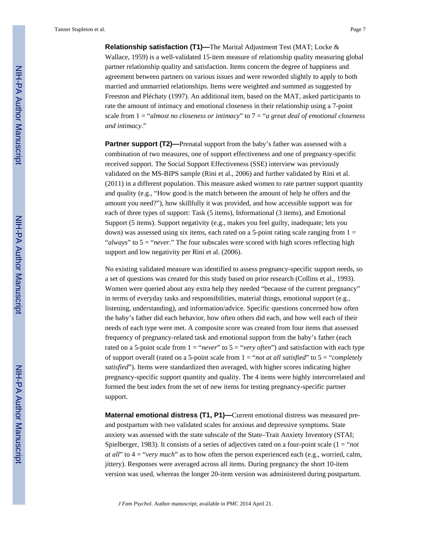**Relationship satisfaction (T1)—**The Marital Adjustment Test (MAT; Locke & Wallace, 1959) is a well-validated 15-item measure of relationship quality measuring global partner relationship quality and satisfaction. Items concern the degree of happiness and agreement between partners on various issues and were reworded slightly to apply to both married and unmarried relationships. Items were weighted and summed as suggested by Freeston and Pléchaty (1997). An additional item, based on the MAT, asked participants to rate the amount of intimacy and emotional closeness in their relationship using a 7-point scale from 1 = "*almost no closeness or intimacy*" to 7 = "*a great deal of emotional closeness and intimacy*."

**Partner support (T2)—**Prenatal support from the baby's father was assessed with a combination of two measures, one of support effectiveness and one of pregnancy-specific received support. The Social Support Effectiveness (SSE) interview was previously validated on the MS-BIPS sample (Rini et al., 2006) and further validated by Rini et al. (2011) in a different population. This measure asked women to rate partner support quantity and quality (e.g., "How good is the match between the amount of help he offers and the amount you need?"), how skillfully it was provided, and how accessible support was for each of three types of support: Task (5 items), Informational (3 items), and Emotional Support (5 items). Support negativity (e.g., makes you feel guilty, inadequate; lets you down) was assessed using six items, each rated on a 5-point rating scale ranging from  $1 =$ "*always*" to 5 = "*never.*" The four subscales were scored with high scores reflecting high support and low negativity per Rini et al. (2006).

No existing validated measure was identified to assess pregnancy-specific support needs, so a set of questions was created for this study based on prior research (Collins et al., 1993). Women were queried about any extra help they needed "because of the current pregnancy" in terms of everyday tasks and responsibilities, material things, emotional support (e.g., listening, understanding), and information/advice. Specific questions concerned how often the baby's father did each behavior, how often others did each, and how well each of their needs of each type were met. A composite score was created from four items that assessed frequency of pregnancy-related task and emotional support from the baby's father (each rated on a 5-point scale from 1 = "*never*" to 5 = "*very often*") and satisfaction with each type of support overall (rated on a 5-point scale from 1 = "*not at all satisfied*" to 5 = "*completely satisfied*"). Items were standardized then averaged, with higher scores indicating higher pregnancy-specific support quantity and quality. The 4 items were highly intercorrelated and formed the best index from the set of new items for testing pregnancy-specific partner support.

**Maternal emotional distress (T1, P1)—**Current emotional distress was measured preand postpartum with two validated scales for anxious and depressive symptoms. State anxiety was assessed with the state subscale of the State–Trait Anxiety Inventory (STAI; Spielberger, 1983). It consists of a series of adjectives rated on a four-point scale (1 = "*not at all*" to 4 = "*very much*" as to how often the person experienced each (e.g., worried, calm, jittery). Responses were averaged across all items. During pregnancy the short 10-item version was used, whereas the longer 20-item version was administered during postpartum.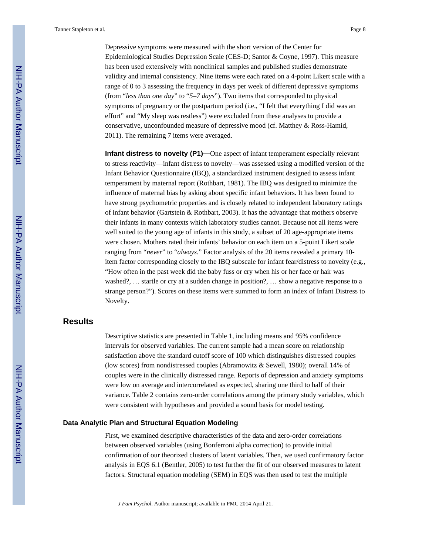Depressive symptoms were measured with the short version of the Center for Epidemiological Studies Depression Scale (CES-D; Santor & Coyne, 1997). This measure has been used extensively with nonclinical samples and published studies demonstrate validity and internal consistency. Nine items were each rated on a 4-point Likert scale with a range of 0 to 3 assessing the frequency in days per week of different depressive symptoms (from "*less than one day*" to "*5–7 days*"). Two items that corresponded to physical symptoms of pregnancy or the postpartum period (i.e., "I felt that everything I did was an effort" and "My sleep was restless") were excluded from these analyses to provide a conservative, unconfounded measure of depressive mood (cf. Matthey & Ross-Hamid, 2011). The remaining 7 items were averaged.

**Infant distress to novelty (P1)—**One aspect of infant temperament especially relevant to stress reactivity—infant distress to novelty—was assessed using a modified version of the Infant Behavior Questionnaire (IBQ), a standardized instrument designed to assess infant temperament by maternal report (Rothbart, 1981). The IBQ was designed to minimize the influence of maternal bias by asking about specific infant behaviors. It has been found to have strong psychometric properties and is closely related to independent laboratory ratings of infant behavior (Gartstein & Rothbart, 2003). It has the advantage that mothers observe their infants in many contexts which laboratory studies cannot. Because not all items were well suited to the young age of infants in this study, a subset of 20 age-appropriate items were chosen. Mothers rated their infants' behavior on each item on a 5-point Likert scale ranging from "*never*" to "*always*." Factor analysis of the 20 items revealed a primary 10 item factor corresponding closely to the IBQ subscale for infant fear/distress to novelty (e.g., "How often in the past week did the baby fuss or cry when his or her face or hair was washed?, … startle or cry at a sudden change in position?, … show a negative response to a strange person?"). Scores on these items were summed to form an index of Infant Distress to Novelty.

# **Results**

Descriptive statistics are presented in Table 1, including means and 95% confidence intervals for observed variables. The current sample had a mean score on relationship satisfaction above the standard cutoff score of 100 which distinguishes distressed couples (low scores) from nondistressed couples (Abramowitz & Sewell, 1980); overall 14% of couples were in the clinically distressed range. Reports of depression and anxiety symptoms were low on average and intercorrelated as expected, sharing one third to half of their variance. Table 2 contains zero-order correlations among the primary study variables, which were consistent with hypotheses and provided a sound basis for model testing.

#### **Data Analytic Plan and Structural Equation Modeling**

First, we examined descriptive characteristics of the data and zero-order correlations between observed variables (using Bonferroni alpha correction) to provide initial confirmation of our theorized clusters of latent variables. Then, we used confirmatory factor analysis in EQS 6.1 (Bentler, 2005) to test further the fit of our observed measures to latent factors. Structural equation modeling (SEM) in EQS was then used to test the multiple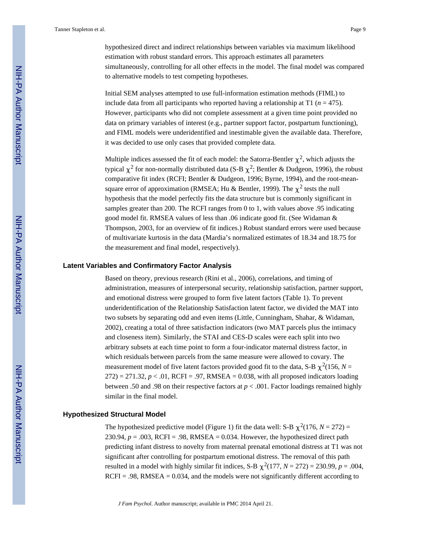hypothesized direct and indirect relationships between variables via maximum likelihood estimation with robust standard errors. This approach estimates all parameters simultaneously, controlling for all other effects in the model. The final model was compared to alternative models to test competing hypotheses.

Initial SEM analyses attempted to use full-information estimation methods (FIML) to include data from all participants who reported having a relationship at  $T1$  ( $n = 475$ ). However, participants who did not complete assessment at a given time point provided no data on primary variables of interest (e.g., partner support factor, postpartum functioning), and FIML models were underidentified and inestimable given the available data. Therefore, it was decided to use only cases that provided complete data.

Multiple indices assessed the fit of each model: the Satorra-Bentler  $\chi^2$ , which adjusts the typical  $\chi^2$  for non-normally distributed data (S-B  $\chi^2$ ; Bentler & Dudgeon, 1996), the robust comparative fit index (RCFI; Bentler & Dudgeon, 1996; Byrne, 1994), and the root-meansquare error of approximation (RMSEA; Hu & Bentler, 1999). The  $\chi^2$  tests the null hypothesis that the model perfectly fits the data structure but is commonly significant in samples greater than 200. The RCFI ranges from 0 to 1, with values above .95 indicating good model fit. RMSEA values of less than .06 indicate good fit. (See Widaman & Thompson, 2003, for an overview of fit indices.) Robust standard errors were used because of multivariate kurtosis in the data (Mardia's normalized estimates of 18.34 and 18.75 for the measurement and final model, respectively).

#### **Latent Variables and Confirmatory Factor Analysis**

Based on theory, previous research (Rini et al., 2006), correlations, and timing of administration, measures of interpersonal security, relationship satisfaction, partner support, and emotional distress were grouped to form five latent factors (Table 1). To prevent underidentification of the Relationship Satisfaction latent factor, we divided the MAT into two subsets by separating odd and even items (Little, Cunningham, Shahar, & Widaman, 2002), creating a total of three satisfaction indicators (two MAT parcels plus the intimacy and closeness item). Similarly, the STAI and CES-D scales were each split into two arbitrary subsets at each time point to form a four-indicator maternal distress factor, in which residuals between parcels from the same measure were allowed to covary. The measurement model of five latent factors provided good fit to the data, S-B  $\chi^2(156, N=$  $272$ ) = 271.32,  $p < 0.01$ , RCFI = .97, RMSEA = 0.038, with all proposed indicators loading between .50 and .98 on their respective factors at *p* < .001. Factor loadings remained highly similar in the final model.

#### **Hypothesized Structural Model**

The hypothesized predictive model (Figure 1) fit the data well: S-B  $\chi^2(176, N = 272)$  = 230.94,  $p = .003$ , RCFI = .98, RMSEA = 0.034. However, the hypothesized direct path predicting infant distress to novelty from maternal prenatal emotional distress at T1 was not significant after controlling for postpartum emotional distress. The removal of this path resulted in a model with highly similar fit indices, S-B  $\chi^2(177, N = 272) = 230.99, p = .004$ ,  $RCFI = .98$ ,  $RMSEA = 0.034$ , and the models were not significantly different according to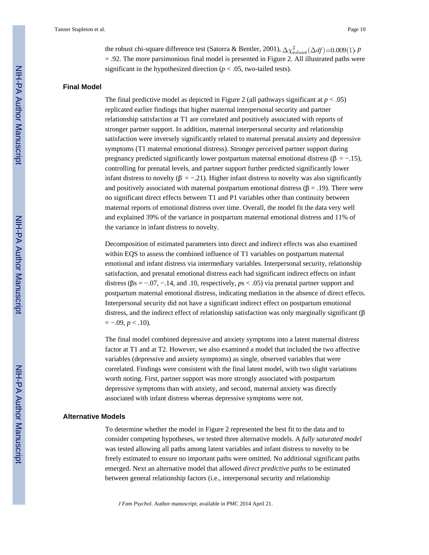the robust chi-square difference test (Satorra & Bentler, 2001),  $\Delta \chi^2_{\rm robust}(\Delta df) = 0.009(1)$ , *p* = .92. The more parsimonious final model is presented in Figure 2. All illustrated paths were significant in the hypothesized direction ( $p < .05$ , two-tailed tests).

#### **Final Model**

The final predictive model as depicted in Figure 2 (all pathways significant at  $p < .05$ ) replicated earlier findings that higher maternal interpersonal security and partner relationship satisfaction at T1 are correlated and positively associated with reports of stronger partner support. In addition, maternal interpersonal security and relationship satisfaction were inversely significantly related to maternal prenatal anxiety and depressive symptoms (T1 maternal emotional distress). Stronger perceived partner support during pregnancy predicted significantly lower postpartum maternal emotional distress (β =  $-.15$ ), controlling for prenatal levels, and partner support further predicted significantly lower infant distress to novelty (β = -.21). Higher infant distress to novelty was also significantly and positively associated with maternal postpartum emotional distress ( $\beta$  = .19). There were no significant direct effects between T1 and P1 variables other than continuity between maternal reports of emotional distress over time. Overall, the model fit the data very well and explained 39% of the variance in postpartum maternal emotional distress and 11% of the variance in infant distress to novelty.

Decomposition of estimated parameters into direct and indirect effects was also examined within EQS to assess the combined influence of T1 variables on postpartum maternal emotional and infant distress via intermediary variables. Interpersonal security, relationship satisfaction, and prenatal emotional distress each had significant indirect effects on infant distress (βs = −.07, −.14, and .10, respectively, *p*s < .05) via prenatal partner support and postpartum maternal emotional distress, indicating mediation in the absence of direct effects. Interpersonal security did not have a significant indirect effect on postpartum emotional distress, and the indirect effect of relationship satisfaction was only marginally significant (β  $=-.09, p < .10$ ).

The final model combined depressive and anxiety symptoms into a latent maternal distress factor at T1 and at T2. However, we also examined a model that included the two affective variables (depressive and anxiety symptoms) as single, observed variables that were correlated. Findings were consistent with the final latent model, with two slight variations worth noting. First, partner support was more strongly associated with postpartum depressive symptoms than with anxiety, and second, maternal anxiety was directly associated with infant distress whereas depressive symptoms were not.

#### **Alternative Models**

To determine whether the model in Figure 2 represented the best fit to the data and to consider competing hypotheses, we tested three alternative models. A *fully saturated model* was tested allowing all paths among latent variables and infant distress to novelty to be freely estimated to ensure no important paths were omitted. No additional significant paths emerged. Next an alternative model that allowed *direct predictive paths* to be estimated between general relationship factors (i.e., interpersonal security and relationship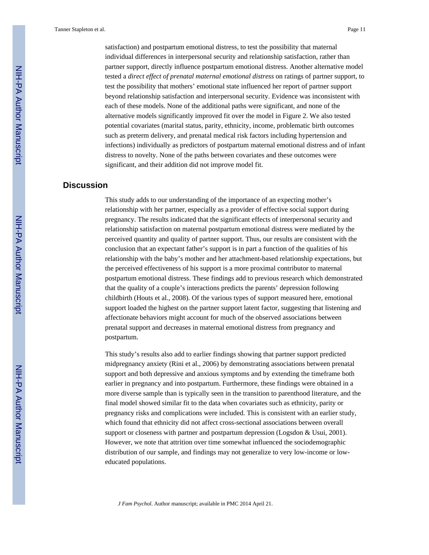satisfaction) and postpartum emotional distress, to test the possibility that maternal individual differences in interpersonal security and relationship satisfaction, rather than partner support, directly influence postpartum emotional distress. Another alternative model tested a *direct effect of prenatal maternal emotional distress* on ratings of partner support, to test the possibility that mothers' emotional state influenced her report of partner support beyond relationship satisfaction and interpersonal security. Evidence was inconsistent with each of these models. None of the additional paths were significant, and none of the alternative models significantly improved fit over the model in Figure 2. We also tested potential covariates (marital status, parity, ethnicity, income, problematic birth outcomes such as preterm delivery, and prenatal medical risk factors including hypertension and infections) individually as predictors of postpartum maternal emotional distress and of infant distress to novelty. None of the paths between covariates and these outcomes were significant, and their addition did not improve model fit.

## **Discussion**

This study adds to our understanding of the importance of an expecting mother's relationship with her partner, especially as a provider of effective social support during pregnancy. The results indicated that the significant effects of interpersonal security and relationship satisfaction on maternal postpartum emotional distress were mediated by the perceived quantity and quality of partner support. Thus, our results are consistent with the conclusion that an expectant father's support is in part a function of the qualities of his relationship with the baby's mother and her attachment-based relationship expectations, but the perceived effectiveness of his support is a more proximal contributor to maternal postpartum emotional distress. These findings add to previous research which demonstrated that the quality of a couple's interactions predicts the parents' depression following childbirth (Houts et al., 2008). Of the various types of support measured here, emotional support loaded the highest on the partner support latent factor, suggesting that listening and affectionate behaviors might account for much of the observed associations between prenatal support and decreases in maternal emotional distress from pregnancy and postpartum.

This study's results also add to earlier findings showing that partner support predicted midpregnancy anxiety (Rini et al., 2006) by demonstrating associations between prenatal support and both depressive and anxious symptoms and by extending the timeframe both earlier in pregnancy and into postpartum. Furthermore, these findings were obtained in a more diverse sample than is typically seen in the transition to parenthood literature, and the final model showed similar fit to the data when covariates such as ethnicity, parity or pregnancy risks and complications were included. This is consistent with an earlier study, which found that ethnicity did not affect cross-sectional associations between overall support or closeness with partner and postpartum depression (Logsdon & Usui, 2001). However, we note that attrition over time somewhat influenced the sociodemographic distribution of our sample, and findings may not generalize to very low-income or loweducated populations.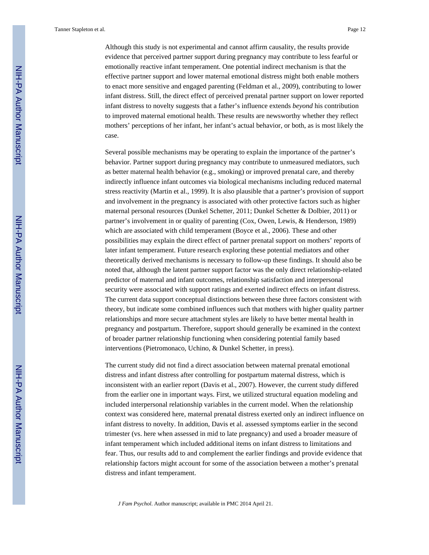Although this study is not experimental and cannot affirm causality, the results provide evidence that perceived partner support during pregnancy may contribute to less fearful or emotionally reactive infant temperament. One potential indirect mechanism is that the effective partner support and lower maternal emotional distress might both enable mothers to enact more sensitive and engaged parenting (Feldman et al., 2009), contributing to lower infant distress. Still, the direct effect of perceived prenatal partner support on lower reported infant distress to novelty suggests that a father's influence extends *beyond* his contribution to improved maternal emotional health. These results are newsworthy whether they reflect mothers' perceptions of her infant, her infant's actual behavior, or both, as is most likely the case.

Several possible mechanisms may be operating to explain the importance of the partner's behavior. Partner support during pregnancy may contribute to unmeasured mediators, such as better maternal health behavior (e.g., smoking) or improved prenatal care, and thereby indirectly influence infant outcomes via biological mechanisms including reduced maternal stress reactivity (Martin et al., 1999). It is also plausible that a partner's provision of support and involvement in the pregnancy is associated with other protective factors such as higher maternal personal resources (Dunkel Schetter, 2011; Dunkel Schetter & Dolbier, 2011) or partner's involvement in or quality of parenting (Cox, Owen, Lewis, & Henderson, 1989) which are associated with child temperament (Boyce et al., 2006). These and other possibilities may explain the direct effect of partner prenatal support on mothers' reports of later infant temperament. Future research exploring these potential mediators and other theoretically derived mechanisms is necessary to follow-up these findings. It should also be noted that, although the latent partner support factor was the only direct relationship-related predictor of maternal and infant outcomes, relationship satisfaction and interpersonal security were associated with support ratings and exerted indirect effects on infant distress. The current data support conceptual distinctions between these three factors consistent with theory, but indicate some combined influences such that mothers with higher quality partner relationships and more secure attachment styles are likely to have better mental health in pregnancy and postpartum. Therefore, support should generally be examined in the context of broader partner relationship functioning when considering potential family based interventions (Pietromonaco, Uchino, & Dunkel Schetter, in press).

The current study did not find a direct association between maternal prenatal emotional distress and infant distress after controlling for postpartum maternal distress, which is inconsistent with an earlier report (Davis et al., 2007). However, the current study differed from the earlier one in important ways. First, we utilized structural equation modeling and included interpersonal relationship variables in the current model. When the relationship context was considered here, maternal prenatal distress exerted only an indirect influence on infant distress to novelty. In addition, Davis et al. assessed symptoms earlier in the second trimester (vs. here when assessed in mid to late pregnancy) and used a broader measure of infant temperament which included additional items on infant distress to limitations and fear. Thus, our results add to and complement the earlier findings and provide evidence that relationship factors might account for some of the association between a mother's prenatal distress and infant temperament.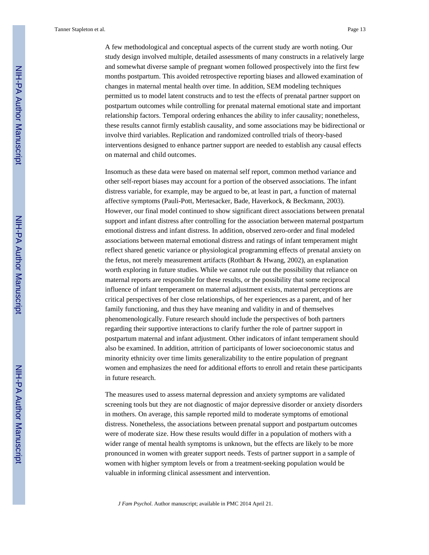A few methodological and conceptual aspects of the current study are worth noting. Our study design involved multiple, detailed assessments of many constructs in a relatively large and somewhat diverse sample of pregnant women followed prospectively into the first few months postpartum. This avoided retrospective reporting biases and allowed examination of changes in maternal mental health over time. In addition, SEM modeling techniques permitted us to model latent constructs and to test the effects of prenatal partner support on postpartum outcomes while controlling for prenatal maternal emotional state and important relationship factors. Temporal ordering enhances the ability to infer causality; nonetheless, these results cannot firmly establish causality, and some associations may be bidirectional or involve third variables. Replication and randomized controlled trials of theory-based interventions designed to enhance partner support are needed to establish any causal effects on maternal and child outcomes.

Insomuch as these data were based on maternal self report, common method variance and other self-report biases may account for a portion of the observed associations. The infant distress variable, for example, may be argued to be, at least in part, a function of maternal affective symptoms (Pauli-Pott, Mertesacker, Bade, Haverkock, & Beckmann, 2003). However, our final model continued to show significant direct associations between prenatal support and infant distress after controlling for the association between maternal postpartum emotional distress and infant distress. In addition, observed zero-order and final modeled associations between maternal emotional distress and ratings of infant temperament might reflect shared genetic variance or physiological programming effects of prenatal anxiety on the fetus, not merely measurement artifacts (Rothbart & Hwang, 2002), an explanation worth exploring in future studies. While we cannot rule out the possibility that reliance on maternal reports are responsible for these results, or the possibility that some reciprocal influence of infant temperament on maternal adjustment exists, maternal perceptions are critical perspectives of her close relationships, of her experiences as a parent, and of her family functioning, and thus they have meaning and validity in and of themselves phenomenologically. Future research should include the perspectives of both partners regarding their supportive interactions to clarify further the role of partner support in postpartum maternal and infant adjustment. Other indicators of infant temperament should also be examined. In addition, attrition of participants of lower socioeconomic status and minority ethnicity over time limits generalizability to the entire population of pregnant women and emphasizes the need for additional efforts to enroll and retain these participants in future research.

The measures used to assess maternal depression and anxiety symptoms are validated screening tools but they are not diagnostic of major depressive disorder or anxiety disorders in mothers. On average, this sample reported mild to moderate symptoms of emotional distress. Nonetheless, the associations between prenatal support and postpartum outcomes were of moderate size. How these results would differ in a population of mothers with a wider range of mental health symptoms is unknown, but the effects are likely to be more pronounced in women with greater support needs. Tests of partner support in a sample of women with higher symptom levels or from a treatment-seeking population would be valuable in informing clinical assessment and intervention.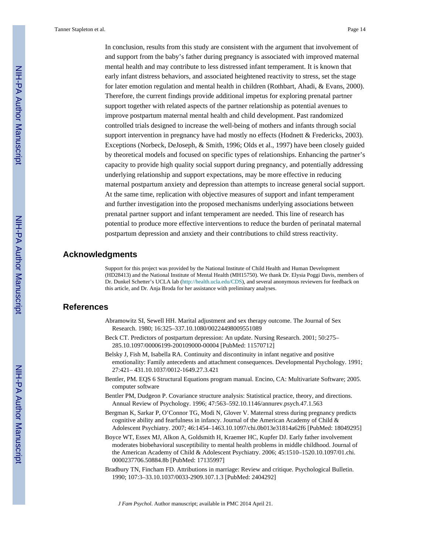In conclusion, results from this study are consistent with the argument that involvement of and support from the baby's father during pregnancy is associated with improved maternal mental health and may contribute to less distressed infant temperament. It is known that early infant distress behaviors, and associated heightened reactivity to stress, set the stage for later emotion regulation and mental health in children (Rothbart, Ahadi, & Evans, 2000). Therefore, the current findings provide additional impetus for exploring prenatal partner support together with related aspects of the partner relationship as potential avenues to improve postpartum maternal mental health and child development. Past randomized controlled trials designed to increase the well-being of mothers and infants through social support intervention in pregnancy have had mostly no effects (Hodnett & Fredericks, 2003). Exceptions (Norbeck, DeJoseph, & Smith, 1996; Olds et al., 1997) have been closely guided by theoretical models and focused on specific types of relationships. Enhancing the partner's capacity to provide high quality social support during pregnancy, and potentially addressing underlying relationship and support expectations, may be more effective in reducing maternal postpartum anxiety and depression than attempts to increase general social support. At the same time, replication with objective measures of support and infant temperament and further investigation into the proposed mechanisms underlying associations between prenatal partner support and infant temperament are needed. This line of research has potential to produce more effective interventions to reduce the burden of perinatal maternal postpartum depression and anxiety and their contributions to child stress reactivity.

#### **Acknowledgments**

Support for this project was provided by the National Institute of Child Health and Human Development (HD28413) and the National Institute of Mental Health (MH15750). We thank Dr. Elysia Poggi Davis, members of Dr. Dunkel Schetter's UCLA lab [\(http://health.ucla.edu/CDS\)](http://health.ucla.edu/CDS), and several anonymous reviewers for feedback on this article, and Dr. Anja Broda for her assistance with preliminary analyses.

#### **References**

- Abramowitz SI, Sewell HH. Marital adjustment and sex therapy outcome. The Journal of Sex Research. 1980; 16:325–337.10.1080/00224498009551089
- Beck CT. Predictors of postpartum depression: An update. Nursing Research. 2001; 50:275– 285.10.1097/00006199-200109000-00004 [PubMed: 11570712]
- Belsky J, Fish M, Isabella RA. Continuity and discontinuity in infant negative and positive emotionality: Family antecedents and attachment consequences. Developmental Psychology. 1991; 27:421– 431.10.1037/0012-1649.27.3.421
- Bentler, PM. EQS 6 Structural Equations program manual. Encino, CA: Multivariate Software; 2005. computer software
- Bentler PM, Dudgeon P. Covariance structure analysis: Statistical practice, theory, and directions. Annual Review of Psychology. 1996; 47:563–592.10.1146/annurev.psych.47.1.563
- Bergman K, Sarkar P, O'Connor TG, Modi N, Glover V. Maternal stress during pregnancy predicts cognitive ability and fearfulness in infancy. Journal of the American Academy of Child & Adolescent Psychiatry. 2007; 46:1454–1463.10.1097/chi.0b013e31814a62f6 [PubMed: 18049295]
- Boyce WT, Essex MJ, Alkon A, Goldsmith H, Kraemer HC, Kupfer DJ. Early father involvement moderates biobehavioral susceptibility to mental health problems in middle childhood. Journal of the American Academy of Child & Adolescent Psychiatry. 2006; 45:1510–1520.10.1097/01.chi. 0000237706.50884.8b [PubMed: 17135997]
- Bradbury TN, Fincham FD. Attributions in marriage: Review and critique. Psychological Bulletin. 1990; 107:3–33.10.1037/0033-2909.107.1.3 [PubMed: 2404292]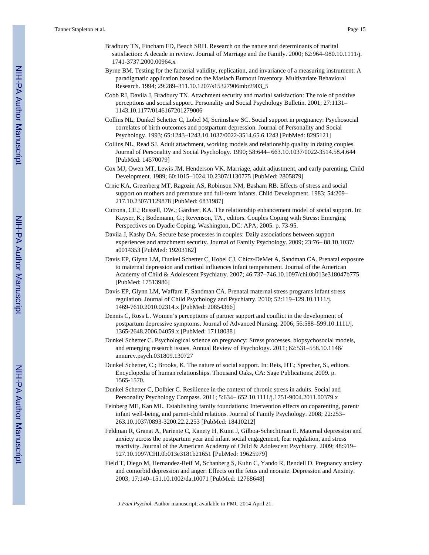- Bradbury TN, Fincham FD, Beach SRH. Research on the nature and determinants of marital satisfaction: A decade in review. Journal of Marriage and the Family. 2000; 62:964–980.10.1111/j. 1741-3737.2000.00964.x
- Byrne BM. Testing for the factorial validity, replication, and invariance of a measuring instrument: A paradigmatic application based on the Maslach Burnout Inventory. Multivariate Behavioral Research. 1994; 29:289–311.10.1207/s15327906mbr2903\_5
- Cobb RJ, Davila J, Bradbury TN. Attachment security and marital satisfaction: The role of positive perceptions and social support. Personality and Social Psychology Bulletin. 2001; 27:1131– 1143.10.1177/0146167201279006
- Collins NL, Dunkel Schetter C, Lobel M, Scrimshaw SC. Social support in pregnancy: Psychosocial correlates of birth outcomes and postpartum depression. Journal of Personality and Social Psychology. 1993; 65:1243–1243.10.1037/0022-3514.65.6.1243 [PubMed: 8295121]
- Collins NL, Read SJ. Adult attachment, working models and relationship quality in dating couples. Journal of Personality and Social Psychology. 1990; 58:644– 663.10.1037/0022-3514.58.4.644 [PubMed: 14570079]
- Cox MJ, Owen MT, Lewis JM, Henderson VK. Marriage, adult adjustment, and early parenting. Child Development. 1989; 60:1015–1024.10.2307/1130775 [PubMed: 2805879]
- Crnic KA, Greenberg MT, Ragozin AS, Robinson NM, Basham RB. Effects of stress and social support on mothers and premature and full-term infants. Child Development. 1983; 54:209– 217.10.2307/1129878 [PubMed: 6831987]
- Cutrona, CE.; Russell, DW.; Gardner, KA. The relationship enhancement model of social support. In: Kayser, K.; Bodemann, G.; Revenson, TA., editors. Couples Coping with Stress: Emerging Perspectives on Dyadic Coping. Washington, DC: APA; 2005. p. 73-95.
- Davila J, Kashy DA. Secure base processes in couples: Daily associations between support experiences and attachment security. Journal of Family Psychology. 2009; 23:76– 88.10.1037/ a0014353 [PubMed: 19203162]
- Davis EP, Glynn LM, Dunkel Schetter C, Hobel CJ, Chicz-DeMet A, Sandman CA. Prenatal exposure to maternal depression and cortisol influences infant temperament. Journal of the American Academy of Child & Adolescent Psychiatry. 2007; 46:737–746.10.1097/chi.0b013e318047b775 [PubMed: 17513986]
- Davis EP, Glynn LM, Waffarn F, Sandman CA. Prenatal maternal stress programs infant stress regulation. Journal of Child Psychology and Psychiatry. 2010; 52:119–129.10.1111/j. 1469-7610.2010.02314.x [PubMed: 20854366]
- Dennis C, Ross L. Women's perceptions of partner support and conflict in the development of postpartum depressive symptoms. Journal of Advanced Nursing. 2006; 56:588–599.10.1111/j. 1365-2648.2006.04059.x [PubMed: 17118038]
- Dunkel Schetter C. Psychological science on pregnancy: Stress processes, biopsychosocial models, and emerging research issues. Annual Review of Psychology. 2011; 62:531–558.10.1146/ annurev.psych.031809.130727
- Dunkel Schetter, C.; Brooks, K. The nature of social support. In: Reis, HT.; Sprecher, S., editors. Encyclopedia of human relationships. Thousand Oaks, CA: Sage Publications; 2009. p. 1565-1570.
- Dunkel Schetter C, Dolbier C. Resilience in the context of chronic stress in adults. Social and Personality Psychology Compass. 2011; 5:634– 652.10.1111/j.1751-9004.2011.00379.x
- Feinberg ME, Kan ML. Establishing family foundations: Intervention effects on coparenting, parent/ infant well-being, and parent-child relations. Journal of Family Psychology. 2008; 22:253– 263.10.1037/0893-3200.22.2.253 [PubMed: 18410212]
- Feldman R, Granat A, Pariente C, Kanety H, Kuint J, Gilboa-Schechtman E. Maternal depression and anxiety across the postpartum year and infant social engagement, fear regulation, and stress reactivity. Journal of the American Academy of Child & Adolescent Psychiatry. 2009; 48:919– 927.10.1097/CHI.0b013e3181b21651 [PubMed: 19625979]
- Field T, Diego M, Hernandez-Reif M, Schanberg S, Kuhn C, Yando R, Bendell D. Pregnancy anxiety and comorbid depression and anger: Effects on the fetus and neonate. Depression and Anxiety. 2003; 17:140–151.10.1002/da.10071 [PubMed: 12768648]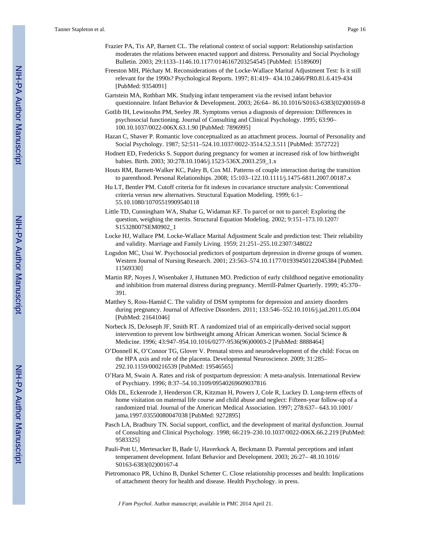- Frazier PA, Tix AP, Barnett CL. The relational context of social support: Relationship satisfaction moderates the relations between enacted support and distress. Personality and Social Psychology Bulletin. 2003; 29:1133–1146.10.1177/0146167203254545 [PubMed: 15189609]
- Freeston MH, Pléchaty M. Reconsiderations of the Locke-Wallace Marital Adjustment Test: Is it still relevant for the 1990s? Psychological Reports. 1997; 81:419– 434.10.2466/PR0.81.6.419-434 [PubMed: 9354091]
- Gartstein MA, Rothbart MK. Studying infant temperament via the revised infant behavior questionnaire. Infant Behavior & Development. 2003; 26:64– 86.10.1016/S0163-6383(02)00169-8
- Gotlib IH, Lewinsohn PM, Seeley JR. Symptoms versus a diagnosis of depression: Differences in psychosocial functioning. Journal of Consulting and Clinical Psychology. 1995; 63:90– 100.10.1037/0022-006X.63.1.90 [PubMed: 7896995]
- Hazan C, Shaver P. Romantic love conceptualized as an attachment process. Journal of Personality and Social Psychology. 1987; 52:511–524.10.1037/0022-3514.52.3.511 [PubMed: 3572722]
- Hodnett ED, Fredericks S. Support during pregnancy for women at increased risk of low birthweight babies. Birth. 2003; 30:278.10.1046/j.1523-536X.2003.259\_1.x
- Houts RM, Barnett-Walker KC, Paley B, Cox MJ. Patterns of couple interaction during the transition to parenthood. Personal Relationships. 2008; 15:103–122.10.1111/j.1475-6811.2007.00187.x
- Hu LT, Bentler PM. Cutoff criteria for fit indexes in covariance structure analysis: Conventional criteria versus new alternatives. Structural Equation Modeling. 1999; 6:1– 55.10.1080/10705519909540118
- Little TD, Cunningham WA, Shahar G, Widaman KF. To parcel or not to parcel: Exploring the question, weighing the merits. Structural Equation Modeling. 2002; 9:151–173.10.1207/ S15328007SEM0902\_1
- Locke HJ, Wallace PM. Locke-Wallace Marital Adjustment Scale and prediction test: Their reliability and validity. Marriage and Family Living. 1959; 21:251–255.10.2307/348022
- Logsdon MC, Usui W. Psychosocial predictors of postpartum depression in diverse groups of women. Western Journal of Nursing Research. 2001; 23:563–574.10.1177/01939450122045384 [PubMed: 11569330]
- Martin RP, Noyes J, Wisenbaker J, Huttunen MO. Prediction of early childhood negative emotionality and inhibition from maternal distress during pregnancy. Merrill-Palmer Quarterly. 1999; 45:370– 391.
- Matthey S, Ross-Hamid C. The validity of DSM symptoms for depression and anxiety disorders during pregnancy. Journal of Affective Disorders. 2011; 133:546–552.10.1016/j.jad.2011.05.004 [PubMed: 21641046]
- Norbeck JS, DeJoseph JF, Smith RT. A randomized trial of an empirically-derived social support intervention to prevent low birthweight among African American women. Social Science & Medicine. 1996; 43:947–954.10.1016/0277-9536(96)00003-2 [PubMed: 8888464]
- O'Donnell K, O'Connor TG, Glover V. Prenatal stress and neurodevelopment of the child: Focus on the HPA axis and role of the placenta. Developmental Neuroscience. 2009; 31:285– 292.10.1159/000216539 [PubMed: 19546565]
- O'Hara M, Swain A. Rates and risk of postpartum depression: A meta-analysis. International Review of Psychiatry. 1996; 8:37–54.10.3109/09540269609037816
- Olds DL, Eckenrode J, Henderson CR, Kitzman H, Powers J, Cole R, Luckey D. Long-term effects of home visitation on maternal life course and child abuse and neglect: Fifteen-year follow-up of a randomized trial. Journal of the American Medical Association. 1997; 278:637– 643.10.1001/ jama.1997.03550080047038 [PubMed: 9272895]
- Pasch LA, Bradbury TN. Social support, conflict, and the development of marital dysfunction. Journal of Consulting and Clinical Psychology. 1998; 66:219–230.10.1037/0022-006X.66.2.219 [PubMed: 9583325]
- Pauli-Pott U, Mertesacker B, Bade U, Haverkock A, Beckmann D. Parental perceptions and infant temperament development. Infant Behavior and Development. 2003; 26:27– 48.10.1016/ S0163-6383(02)00167-4
- Pietromonaco PR, Uchino B, Dunkel Schetter C. Close relationship processes and health: Implications of attachment theory for health and disease. Health Psychology. in press.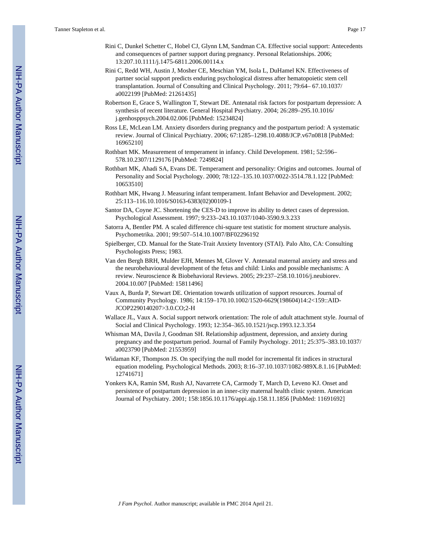- Rini C, Dunkel Schetter C, Hobel CJ, Glynn LM, Sandman CA. Effective social support: Antecedents and consequences of partner support during pregnancy. Personal Relationships. 2006; 13:207.10.1111/j.1475-6811.2006.00114.x
- Rini C, Redd WH, Austin J, Mosher CE, Meschian YM, Isola L, DuHamel KN. Effectiveness of partner social support predicts enduring psychological distress after hematopoietic stem cell transplantation. Journal of Consulting and Clinical Psychology. 2011; 79:64– 67.10.1037/ a0022199 [PubMed: 21261435]
- Robertson E, Grace S, Wallington T, Stewart DE. Antenatal risk factors for postpartum depression: A synthesis of recent literature. General Hospital Psychiatry. 2004; 26:289–295.10.1016/ j.genhosppsych.2004.02.006 [PubMed: 15234824]
- Ross LE, McLean LM. Anxiety disorders during pregnancy and the postpartum period: A systematic review. Journal of Clinical Psychiatry. 2006; 67:1285–1298.10.4088/JCP.v67n0818 [PubMed: 16965210]
- Rothbart MK. Measurement of temperament in infancy. Child Development. 1981; 52:596– 578.10.2307/1129176 [PubMed: 7249824]
- Rothbart MK, Ahadi SA, Evans DE. Temperament and personality: Origins and outcomes. Journal of Personality and Social Psychology. 2000; 78:122–135.10.1037/0022-3514.78.1.122 [PubMed: 10653510]
- Rothbart MK, Hwang J. Measuring infant temperament. Infant Behavior and Development. 2002; 25:113–116.10.1016/S0163-6383(02)00109-1
- Santor DA, Coyne JC. Shortening the CES-D to improve its ability to detect cases of depression. Psychological Assessment. 1997; 9:233–243.10.1037/1040-3590.9.3.233
- Satorra A, Bentler PM. A scaled difference chi-square test statistic for moment structure analysis. Psychometrika. 2001; 99:507–514.10.1007/BF02296192
- Spielberger, CD. Manual for the State-Trait Anxiety Inventory (STAI). Palo Alto, CA: Consulting Psychologists Press; 1983.
- Van den Bergh BRH, Mulder EJH, Mennes M, Glover V. Antenatal maternal anxiety and stress and the neurobehavioural development of the fetus and child: Links and possible mechanisms: A review. Neuroscience & Biobehavioral Reviews. 2005; 29:237–258.10.1016/j.neubiorev. 2004.10.007 [PubMed: 15811496]
- Vaux A, Burda P, Stewart DE. Orientation towards utilization of support resources. Journal of Community Psychology. 1986; 14:159–170.10.1002/1520-6629(198604)14:2<159::AID-JCOP2290140207>3.0.CO;2-H
- Wallace JL, Vaux A. Social support network orientation: The role of adult attachment style. Journal of Social and Clinical Psychology. 1993; 12:354–365.10.1521/jscp.1993.12.3.354
- Whisman MA, Davila J, Goodman SH. Relationship adjustment, depression, and anxiety during pregnancy and the postpartum period. Journal of Family Psychology. 2011; 25:375–383.10.1037/ a0023790 [PubMed: 21553959]
- Widaman KF, Thompson JS. On specifying the null model for incremental fit indices in structural equation modeling. Psychological Methods. 2003; 8:16–37.10.1037/1082-989X.8.1.16 [PubMed: 12741671]
- Yonkers KA, Ramin SM, Rush AJ, Navarrete CA, Carmody T, March D, Leveno KJ. Onset and persistence of postpartum depression in an inner-city maternal health clinic system. American Journal of Psychiatry. 2001; 158:1856.10.1176/appi.ajp.158.11.1856 [PubMed: 11691692]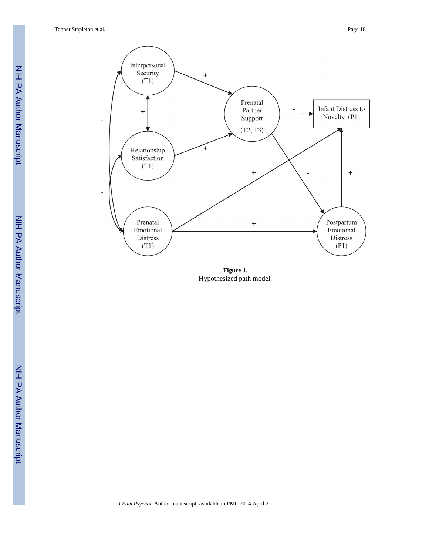

**Figure 1.** Hypothesized path model.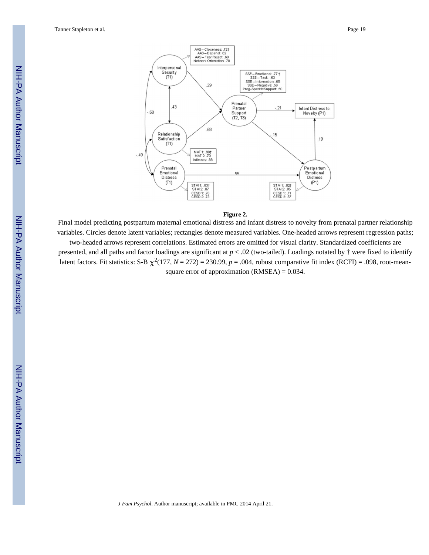

#### **Figure 2.**

Final model predicting postpartum maternal emotional distress and infant distress to novelty from prenatal partner relationship variables. Circles denote latent variables; rectangles denote measured variables. One-headed arrows represent regression paths; two-headed arrows represent correlations. Estimated errors are omitted for visual clarity. Standardized coefficients are presented, and all paths and factor loadings are significant at  $p < .02$  (two-tailed). Loadings notated by  $\dagger$  were fixed to identify latent factors. Fit statistics: S-B  $\chi^2(177, N=272) = 230.99, p = .004$ , robust comparative fit index (RCFI) = .098, root-meansquare error of approximation (RMSEA) = 0.034.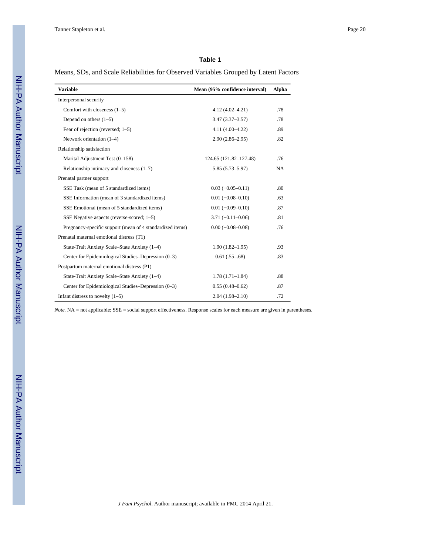#### **Table 1**

Means, SDs, and Scale Reliabilities for Observed Variables Grouped by Latent Factors

| Variable                                                  | Mean (95% confidence interval) | Alpha |
|-----------------------------------------------------------|--------------------------------|-------|
| Interpersonal security                                    |                                |       |
| Comfort with closeness $(1-5)$                            | $4.12(4.02 - 4.21)$            | .78   |
| Depend on others $(1-5)$                                  | $3.47(3.37 - 3.57)$            | .78   |
| Fear of rejection (reversed; $1-5$ )                      | $4.11(4.00-4.22)$              | .89   |
| Network orientation (1-4)                                 | $2.90(2.86 - 2.95)$            | .82   |
| Relationship satisfaction                                 |                                |       |
| Marital Adjustment Test (0-158)                           | 124.65 (121.82-127.48)         | .76   |
| Relationship intimacy and closeness $(1-7)$               | $5.85(5.73 - 5.97)$            | NA    |
| Prenatal partner support                                  |                                |       |
| SSE Task (mean of 5 standardized items)                   | $0.03(-0.05-0.11)$             | .80   |
| SSE Information (mean of 3 standardized items)            | $0.01(-0.08-0.10)$             | .63   |
| SSE Emotional (mean of 5 standardized items)              | $0.01(-0.09-0.10)$             | .87   |
| SSE Negative aspects (reverse-scored; 1–5)                | $3.71(-0.11-0.06)$             | .81   |
| Pregnancy-specific support (mean of 4 standardized items) | $0.00(-0.08-0.08)$             | .76   |
| Prenatal maternal emotional distress (T1)                 |                                |       |
| State-Trait Anxiety Scale-State Anxiety (1-4)             | $1.90(1.82 - 1.95)$            | .93   |
| Center for Epidemiological Studies-Depression (0-3)       | $0.61$ $(.55-.68)$             | .83   |
| Postpartum maternal emotional distress (P1)               |                                |       |
| State-Trait Anxiety Scale-State Anxiety (1-4)             | $1.78(1.71 - 1.84)$            | .88   |
| Center for Epidemiological Studies-Depression (0-3)       | $0.55(0.48 - 0.62)$            | .87   |
| Infant distress to novelty $(1-5)$                        | $2.04(1.98-2.10)$              | .72   |

*Note.* NA = not applicable; SSE = social support effectiveness. Response scales for each measure are given in parentheses.